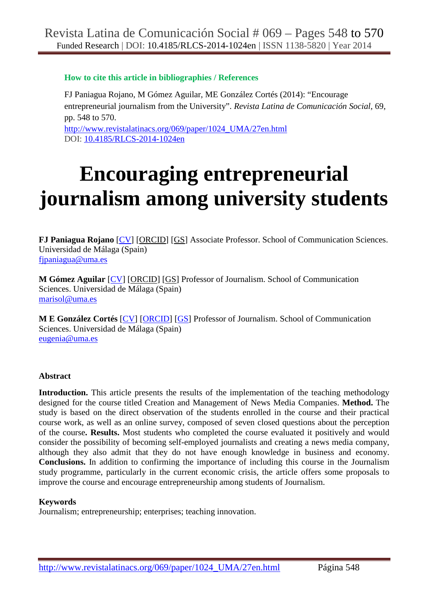# **How to cite this article in bibliographies / References**

FJ Paniagua Rojano, M Gómez Aguilar, ME González Cortés (2014): "Encourage entrepreneurial journalism from the University". *Revista Latina de Comunicación Social*, 69, pp. 548 to 570. http://www.revistalatinacs.org/069/paper/1024\_UMA/27en.html DOI: 10.4185/RLCS-2014-1024en

# **Encouraging entrepreneurial journalism among university students**

**FJ Paniagua Rojano** [CV] [ORCID] [GS] Associate Professor. School of Communication Sciences. Universidad de Málaga (Spain) fjpaniagua@uma.es

**M Gómez Aguilar** [CV] [ORCID] [GS] Professor of Journalism. School of Communication Sciences. Universidad de Málaga (Spain) marisol@uma.es

**M E González Cortés** [CV] [ORCID] [GS] Professor of Journalism. School of Communication Sciences. Universidad de Málaga (Spain) eugenia@uma.es

# **Abstract**

**Introduction.** This article presents the results of the implementation of the teaching methodology designed for the course titled Creation and Management of News Media Companies. **Method.** The study is based on the direct observation of the students enrolled in the course and their practical course work, as well as an online survey, composed of seven closed questions about the perception of the course**. Results.** Most students who completed the course evaluated it positively and would consider the possibility of becoming self-employed journalists and creating a news media company, although they also admit that they do not have enough knowledge in business and economy. **Conclusions.** In addition to confirming the importance of including this course in the Journalism study programme, particularly in the current economic crisis, the article offers some proposals to improve the course and encourage entrepreneurship among students of Journalism.

# **Keywords**

Journalism; entrepreneurship; enterprises; teaching innovation.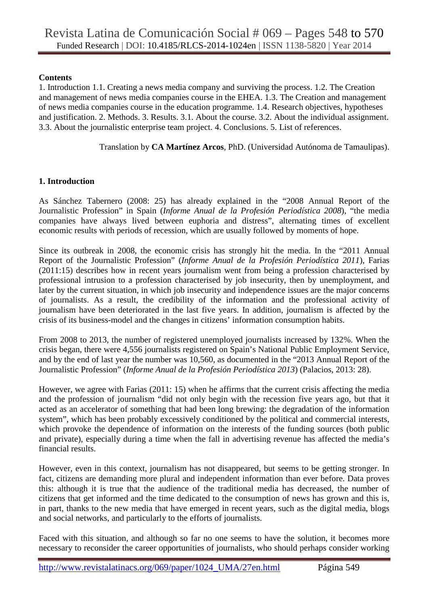#### **Contents**

1. Introduction 1.1. Creating a news media company and surviving the process. 1.2. The Creation and management of news media companies course in the EHEA. 1.3. The Creation and management of news media companies course in the education programme. 1.4. Research objectives, hypotheses and justification. 2. Methods. 3. Results. 3.1. About the course. 3.2. About the individual assignment. 3.3. About the journalistic enterprise team project. 4. Conclusions. 5. List of references.

Translation by **CA Martínez Arcos**, PhD. (Universidad Autónoma de Tamaulipas).

# **1. Introduction**

As Sánchez Tabernero (2008: 25) has already explained in the "2008 Annual Report of the Journalistic Profession" in Spain (*Informe Anual de la Profesión Periodística 2008*), "the media companies have always lived between euphoria and distress", alternating times of excellent economic results with periods of recession, which are usually followed by moments of hope.

Since its outbreak in 2008, the economic crisis has strongly hit the media. In the "2011 Annual Report of the Journalistic Profession" (*Informe Anual de la Profesión Periodística 2011*)*,* Farias (2011:15) describes how in recent years journalism went from being a profession characterised by professional intrusion to a profession characterised by job insecurity, then by unemployment, and later by the current situation, in which job insecurity and independence issues are the major concerns of journalists. As a result, the credibility of the information and the professional activity of journalism have been deteriorated in the last five years. In addition, journalism is affected by the crisis of its business-model and the changes in citizens' information consumption habits.

From 2008 to 2013, the number of registered unemployed journalists increased by 132%. When the crisis began, there were 4,556 journalists registered on Spain's National Public Employment Service, and by the end of last year the number was 10,560, as documented in the "2013 Annual Report of the Journalistic Profession" (*Informe Anual de la Profesión Periodística 2013*) (Palacios, 2013: 28).

However, we agree with Farias (2011: 15) when he affirms that the current crisis affecting the media and the profession of journalism "did not only begin with the recession five years ago, but that it acted as an accelerator of something that had been long brewing: the degradation of the information system", which has been probably excessively conditioned by the political and commercial interests, which provoke the dependence of information on the interests of the funding sources (both public and private), especially during a time when the fall in advertising revenue has affected the media's financial results.

However, even in this context, journalism has not disappeared, but seems to be getting stronger. In fact, citizens are demanding more plural and independent information than ever before. Data proves this: although it is true that the audience of the traditional media has decreased, the number of citizens that get informed and the time dedicated to the consumption of news has grown and this is, in part, thanks to the new media that have emerged in recent years, such as the digital media, blogs and social networks, and particularly to the efforts of journalists.

Faced with this situation, and although so far no one seems to have the solution, it becomes more necessary to reconsider the career opportunities of journalists, who should perhaps consider working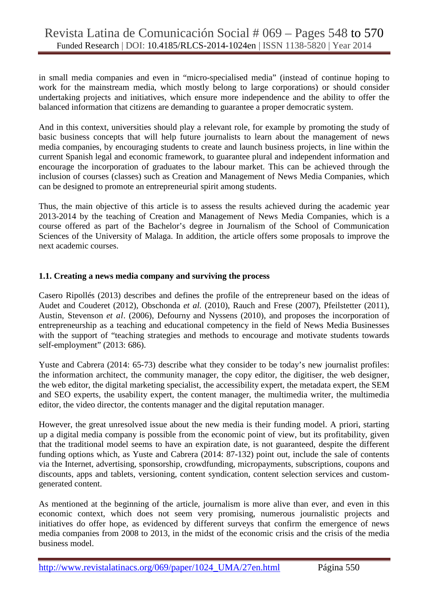# Revista Latina de Comunicación Social # 069 – Pages 548 to 570 Funded Research | DOI: 10.4185/RLCS-2014-1024en | ISSN 1138-5820 | Year 2014

in small media companies and even in "micro-specialised media" (instead of continue hoping to work for the mainstream media, which mostly belong to large corporations) or should consider undertaking projects and initiatives, which ensure more independence and the ability to offer the balanced information that citizens are demanding to guarantee a proper democratic system.

And in this context, universities should play a relevant role, for example by promoting the study of basic business concepts that will help future journalists to learn about the management of news media companies, by encouraging students to create and launch business projects, in line within the current Spanish legal and economic framework, to guarantee plural and independent information and encourage the incorporation of graduates to the labour market. This can be achieved through the inclusion of courses (classes) such as Creation and Management of News Media Companies, which can be designed to promote an entrepreneurial spirit among students.

Thus, the main objective of this article is to assess the results achieved during the academic year 2013-2014 by the teaching of Creation and Management of News Media Companies, which is a course offered as part of the Bachelor's degree in Journalism of the School of Communication Sciences of the University of Malaga. In addition, the article offers some proposals to improve the next academic courses.

#### **1.1. Creating a news media company and surviving the process**

Casero Ripollés (2013) describes and defines the profile of the entrepreneur based on the ideas of Audet and Couderet (2012), Obschonda *et al.* (2010), Rauch and Frese (2007), Pfeilstetter (2011), Austin, Stevenson *et al*. (2006), Defourny and Nyssens (2010), and proposes the incorporation of entrepreneurship as a teaching and educational competency in the field of News Media Businesses with the support of "teaching strategies and methods to encourage and motivate students towards self-employment" (2013: 686).

Yuste and Cabrera (2014: 65-73) describe what they consider to be today's new journalist profiles: the information architect, the community manager, the copy editor, the digitiser, the web designer, the web editor, the digital marketing specialist, the accessibility expert, the metadata expert, the SEM and SEO experts, the usability expert, the content manager, the multimedia writer, the multimedia editor, the video director, the contents manager and the digital reputation manager.

However, the great unresolved issue about the new media is their funding model. A priori, starting up a digital media company is possible from the economic point of view, but its profitability, given that the traditional model seems to have an expiration date, is not guaranteed, despite the different funding options which, as Yuste and Cabrera (2014: 87-132) point out, include the sale of contents via the Internet, advertising, sponsorship, crowdfunding, micropayments, subscriptions, coupons and discounts, apps and tablets, versioning, content syndication, content selection services and customgenerated content.

As mentioned at the beginning of the article, journalism is more alive than ever, and even in this economic context, which does not seem very promising, numerous journalistic projects and initiatives do offer hope, as evidenced by different surveys that confirm the emergence of news media companies from 2008 to 2013, in the midst of the economic crisis and the crisis of the media business model.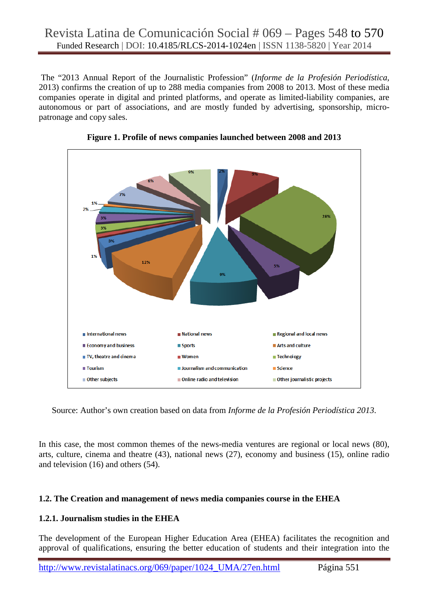The "2013 Annual Report of the Journalistic Profession" (*Informe de la Profesión Periodística,* 2013) confirms the creation of up to 288 media companies from 2008 to 2013. Most of these media companies operate in digital and printed platforms, and operate as limited-liability companies, are autonomous or part of associations, and are mostly funded by advertising, sponsorship, micropatronage and copy sales.





Source: Author's own creation based on data from *Informe de la Profesión Periodística 2013*.

In this case, the most common themes of the news-media ventures are regional or local news (80), arts, culture, cinema and theatre (43), national news (27), economy and business (15), online radio and television (16) and others (54).

# **1.2. The Creation and management of news media companies course in the EHEA**

# **1.2.1. Journalism studies in the EHEA**

The development of the European Higher Education Area (EHEA) facilitates the recognition and approval of qualifications, ensuring the better education of students and their integration into the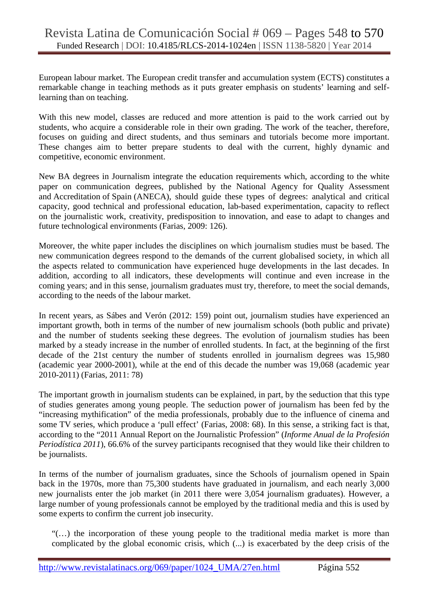European labour market. The European credit transfer and accumulation system (ECTS) constitutes a remarkable change in teaching methods as it puts greater emphasis on students' learning and selflearning than on teaching.

With this new model, classes are reduced and more attention is paid to the work carried out by students, who acquire a considerable role in their own grading. The work of the teacher, therefore, focuses on guiding and direct students, and thus seminars and tutorials become more important. These changes aim to better prepare students to deal with the current, highly dynamic and competitive, economic environment.

New BA degrees in Journalism integrate the education requirements which, according to the white paper on communication degrees, published by the National Agency for Quality Assessment and Accreditation of Spain (ANECA), should guide these types of degrees: analytical and critical capacity, good technical and professional education, lab-based experimentation, capacity to reflect on the journalistic work, creativity, predisposition to innovation, and ease to adapt to changes and future technological environments (Farias, 2009: 126).

Moreover, the white paper includes the disciplines on which journalism studies must be based. The new communication degrees respond to the demands of the current globalised society, in which all the aspects related to communication have experienced huge developments in the last decades. In addition, according to all indicators, these developments will continue and even increase in the coming years; and in this sense, journalism graduates must try, therefore, to meet the social demands, according to the needs of the labour market.

In recent years, as Sábes and Verón (2012: 159) point out, journalism studies have experienced an important growth, both in terms of the number of new journalism schools (both public and private) and the number of students seeking these degrees. The evolution of journalism studies has been marked by a steady increase in the number of enrolled students. In fact, at the beginning of the first decade of the 21st century the number of students enrolled in journalism degrees was 15,980 (academic year 2000-2001), while at the end of this decade the number was 19,068 (academic year 2010-2011) (Farias, 2011: 78)

The important growth in journalism students can be explained, in part, by the seduction that this type of studies generates among young people. The seduction power of journalism has been fed by the "increasing mythification" of the media professionals, probably due to the influence of cinema and some TV series, which produce a 'pull effect' (Farias, 2008: 68). In this sense, a striking fact is that, according to the "2011 Annual Report on the Journalistic Profession" (*Informe Anual de la Profesión Periodística 2011*), 66.6% of the survey participants recognised that they would like their children to be journalists.

In terms of the number of journalism graduates, since the Schools of journalism opened in Spain back in the 1970s, more than 75,300 students have graduated in journalism, and each nearly 3,000 new journalists enter the job market (in 2011 there were 3,054 journalism graduates). However, a large number of young professionals cannot be employed by the traditional media and this is used by some experts to confirm the current job insecurity.

"(…) the incorporation of these young people to the traditional media market is more than complicated by the global economic crisis, which (...) is exacerbated by the deep crisis of the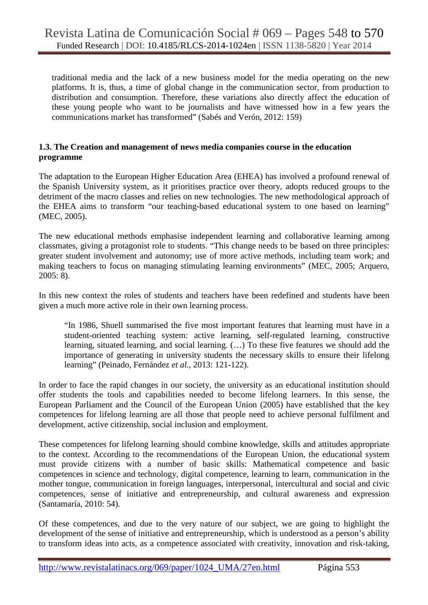traditional media and the lack of a new business model for the media operating on the new platforms. It is, thus, a time of global change in the communication sector, from production to distribution and consumption. Therefore, these variations also directly affect the education of these young people who want to be journalists and have witnessed how in a few years the communications market has transformed" (Sabés and Verón, 2012: 159)

#### **1.3. The Creation and management of news media companies course in the education programme**

The adaptation to the European Higher Education Area (EHEA) has involved a profound renewal of the Spanish University system, as it prioritises practice over theory, adopts reduced groups to the detriment of the macro classes and relies on new technologies. The new methodological approach of the EHEA aims to transform "our teaching-based educational system to one based on learning" (MEC, 2005).

The new educational methods emphasise independent learning and collaborative learning among classmates, giving a protagonist role to students. "This change needs to be based on three principles: greater student involvement and autonomy; use of more active methods, including team work; and making teachers to focus on managing stimulating learning environments" (MEC, 2005; Arquero, 2005: 8).

In this new context the roles of students and teachers have been redefined and students have been given a much more active role in their own learning process.

"In 1986, Shuell summarised the five most important features that learning must have in a student-oriented teaching system: active learning, self-regulated learning, constructive learning, situated learning, and social learning. (…) To these five features we should add the importance of generating in university students the necessary skills to ensure their lifelong learning" (Peinado, Fernández *et al.*, 2013: 121-122).

In order to face the rapid changes in our society, the university as an educational institution should offer students the tools and capabilities needed to become lifelong learners. In this sense, the European Parliament and the Council of the European Union (2005) have established that the key competences for lifelong learning are all those that people need to achieve personal fulfilment and development, active citizenship, social inclusion and employment.

These competences for lifelong learning should combine knowledge, skills and attitudes appropriate to the context. According to the recommendations of the European Union, the educational system must provide citizens with a number of basic skills: Mathematical competence and basic competences in science and technology, digital competence, learning to learn, communication in the mother tongue, communication in foreign languages, interpersonal, intercultural and social and civic competences, sense of initiative and entrepreneurship, and cultural awareness and expression (Santamaría, 2010: 54).

Of these competences, and due to the very nature of our subject, we are going to highlight the development of the sense of initiative and entrepreneurship, which is understood as a person's ability to transform ideas into acts, as a competence associated with creativity, innovation and risk-taking,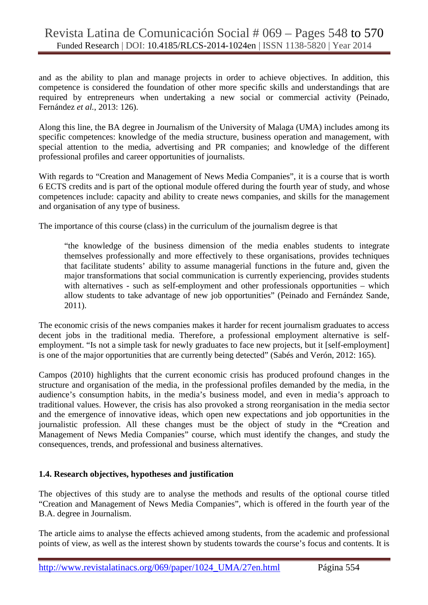and as the ability to plan and manage projects in order to achieve objectives. In addition, this competence is considered the foundation of other more specific skills and understandings that are required by entrepreneurs when undertaking a new social or commercial activity (Peinado, Fernández *et al.*, 2013: 126).

Along this line, the BA degree in Journalism of the University of Malaga (UMA) includes among its specific competences: knowledge of the media structure, business operation and management, with special attention to the media, advertising and PR companies; and knowledge of the different professional profiles and career opportunities of journalists.

With regards to "Creation and Management of News Media Companies", it is a course that is worth 6 ECTS credits and is part of the optional module offered during the fourth year of study, and whose competences include: capacity and ability to create news companies, and skills for the management and organisation of any type of business.

The importance of this course (class) in the curriculum of the journalism degree is that

"the knowledge of the business dimension of the media enables students to integrate themselves professionally and more effectively to these organisations, provides techniques that facilitate students' ability to assume managerial functions in the future and, given the major transformations that social communication is currently experiencing, provides students with alternatives - such as self-employment and other professionals opportunities – which allow students to take advantage of new job opportunities" (Peinado and Fernández Sande, 2011).

The economic crisis of the news companies makes it harder for recent journalism graduates to access decent jobs in the traditional media. Therefore, a professional employment alternative is selfemployment. "Is not a simple task for newly graduates to face new projects, but it [self-employment] is one of the major opportunities that are currently being detected" (Sabés and Verón, 2012: 165).

Campos (2010) highlights that the current economic crisis has produced profound changes in the structure and organisation of the media, in the professional profiles demanded by the media, in the audience's consumption habits, in the media's business model, and even in media's approach to traditional values. However, the crisis has also provoked a strong reorganisation in the media sector and the emergence of innovative ideas, which open new expectations and job opportunities in the journalistic profession. All these changes must be the object of study in the **"**Creation and Management of News Media Companies" course, which must identify the changes, and study the consequences, trends, and professional and business alternatives.

# **1.4. Research objectives, hypotheses and justification**

The objectives of this study are to analyse the methods and results of the optional course titled "Creation and Management of News Media Companies", which is offered in the fourth year of the B.A. degree in Journalism.

The article aims to analyse the effects achieved among students, from the academic and professional points of view, as well as the interest shown by students towards the course's focus and contents. It is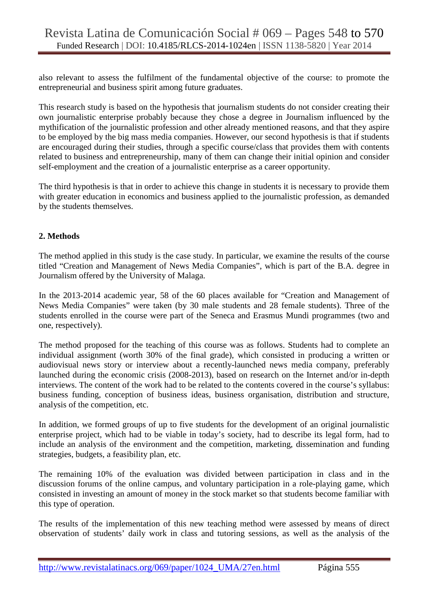also relevant to assess the fulfilment of the fundamental objective of the course: to promote the entrepreneurial and business spirit among future graduates.

This research study is based on the hypothesis that journalism students do not consider creating their own journalistic enterprise probably because they chose a degree in Journalism influenced by the mythification of the journalistic profession and other already mentioned reasons, and that they aspire to be employed by the big mass media companies. However, our second hypothesis is that if students are encouraged during their studies, through a specific course/class that provides them with contents related to business and entrepreneurship, many of them can change their initial opinion and consider self-employment and the creation of a journalistic enterprise as a career opportunity.

The third hypothesis is that in order to achieve this change in students it is necessary to provide them with greater education in economics and business applied to the journalistic profession, as demanded by the students themselves.

#### **2. Methods**

The method applied in this study is the case study. In particular, we examine the results of the course titled "Creation and Management of News Media Companies", which is part of the B.A. degree in Journalism offered by the University of Malaga.

In the 2013-2014 academic year, 58 of the 60 places available for "Creation and Management of News Media Companies" were taken (by 30 male students and 28 female students). Three of the students enrolled in the course were part of the Seneca and Erasmus Mundi programmes (two and one, respectively).

The method proposed for the teaching of this course was as follows. Students had to complete an individual assignment (worth 30% of the final grade), which consisted in producing a written or audiovisual news story or interview about a recently-launched news media company, preferably launched during the economic crisis (2008-2013), based on research on the Internet and/or in-depth interviews. The content of the work had to be related to the contents covered in the course's syllabus: business funding, conception of business ideas, business organisation, distribution and structure, analysis of the competition, etc.

In addition, we formed groups of up to five students for the development of an original journalistic enterprise project, which had to be viable in today's society, had to describe its legal form, had to include an analysis of the environment and the competition, marketing, dissemination and funding strategies, budgets, a feasibility plan, etc.

The remaining 10% of the evaluation was divided between participation in class and in the discussion forums of the online campus, and voluntary participation in a role-playing game, which consisted in investing an amount of money in the stock market so that students become familiar with this type of operation.

The results of the implementation of this new teaching method were assessed by means of direct observation of students' daily work in class and tutoring sessions, as well as the analysis of the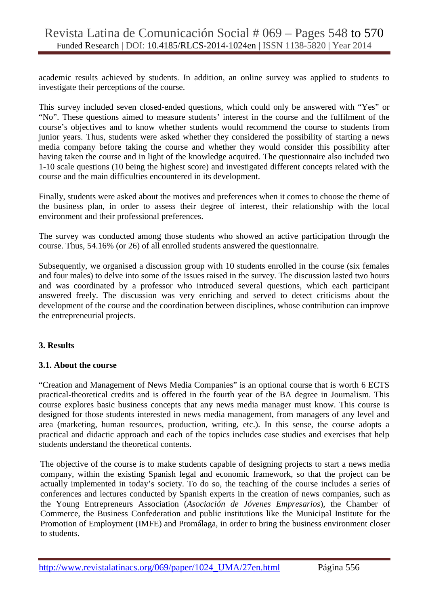academic results achieved by students. In addition, an online survey was applied to students to investigate their perceptions of the course.

This survey included seven closed-ended questions, which could only be answered with "Yes" or "No". These questions aimed to measure students' interest in the course and the fulfilment of the course's objectives and to know whether students would recommend the course to students from junior years. Thus, students were asked whether they considered the possibility of starting a news media company before taking the course and whether they would consider this possibility after having taken the course and in light of the knowledge acquired. The questionnaire also included two 1-10 scale questions (10 being the highest score) and investigated different concepts related with the course and the main difficulties encountered in its development.

Finally, students were asked about the motives and preferences when it comes to choose the theme of the business plan, in order to assess their degree of interest, their relationship with the local environment and their professional preferences.

The survey was conducted among those students who showed an active participation through the course. Thus, 54.16% (or 26) of all enrolled students answered the questionnaire.

Subsequently, we organised a discussion group with 10 students enrolled in the course (six females and four males) to delve into some of the issues raised in the survey. The discussion lasted two hours and was coordinated by a professor who introduced several questions, which each participant answered freely. The discussion was very enriching and served to detect criticisms about the development of the course and the coordination between disciplines, whose contribution can improve the entrepreneurial projects.

# **3. Results**

#### **3.1. About the course**

"Creation and Management of News Media Companies" is an optional course that is worth 6 ECTS practical-theoretical credits and is offered in the fourth year of the BA degree in Journalism. This course explores basic business concepts that any news media manager must know. This course is designed for those students interested in news media management, from managers of any level and area (marketing, human resources, production, writing, etc.). In this sense, the course adopts a practical and didactic approach and each of the topics includes case studies and exercises that help students understand the theoretical contents.

The objective of the course is to make students capable of designing projects to start a news media company, within the existing Spanish legal and economic framework, so that the project can be actually implemented in today's society. To do so, the teaching of the course includes a series of conferences and lectures conducted by Spanish experts in the creation of news companies, such as the Young Entrepreneurs Association (*Asociación de Jóvenes Empresarios*), the Chamber of Commerce, the Business Confederation and public institutions like the Municipal Institute for the Promotion of Employment (IMFE) and Promálaga, in order to bring the business environment closer to students.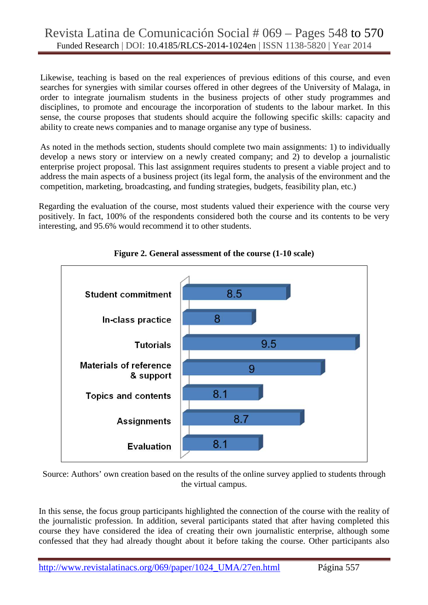Likewise, teaching is based on the real experiences of previous editions of this course, and even searches for synergies with similar courses offered in other degrees of the University of Malaga, in order to integrate journalism students in the business projects of other study programmes and disciplines, to promote and encourage the incorporation of students to the labour market. In this sense, the course proposes that students should acquire the following specific skills: capacity and ability to create news companies and to manage organise any type of business.

As noted in the methods section, students should complete two main assignments: 1) to individually develop a news story or interview on a newly created company; and 2) to develop a journalistic enterprise project proposal. This last assignment requires students to present a viable project and to address the main aspects of a business project (its legal form, the analysis of the environment and the competition, marketing, broadcasting, and funding strategies, budgets, feasibility plan, etc.)

Regarding the evaluation of the course, most students valued their experience with the course very positively. In fact, 100% of the respondents considered both the course and its contents to be very interesting, and 95.6% would recommend it to other students.



**Figure 2. General assessment of the course (1-10 scale)** 

Source: Authors' own creation based on the results of the online survey applied to students through the virtual campus.

In this sense, the focus group participants highlighted the connection of the course with the reality of the journalistic profession. In addition, several participants stated that after having completed this course they have considered the idea of creating their own journalistic enterprise, although some confessed that they had already thought about it before taking the course. Other participants also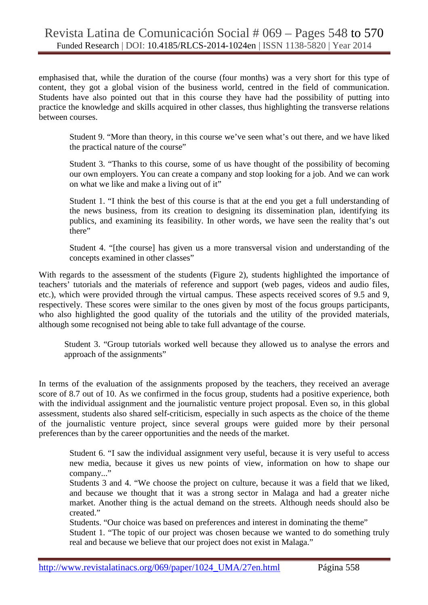emphasised that, while the duration of the course (four months) was a very short for this type of content, they got a global vision of the business world, centred in the field of communication. Students have also pointed out that in this course they have had the possibility of putting into practice the knowledge and skills acquired in other classes, thus highlighting the transverse relations between courses.

Student 9. "More than theory, in this course we've seen what's out there, and we have liked the practical nature of the course"

Student 3. "Thanks to this course, some of us have thought of the possibility of becoming our own employers. You can create a company and stop looking for a job. And we can work on what we like and make a living out of it"

Student 1. "I think the best of this course is that at the end you get a full understanding of the news business, from its creation to designing its dissemination plan, identifying its publics, and examining its feasibility. In other words, we have seen the reality that's out there"

Student 4. "[the course] has given us a more transversal vision and understanding of the concepts examined in other classes"

With regards to the assessment of the students (Figure 2), students highlighted the importance of teachers' tutorials and the materials of reference and support (web pages, videos and audio files, etc.), which were provided through the virtual campus. These aspects received scores of 9.5 and 9, respectively. These scores were similar to the ones given by most of the focus groups participants, who also highlighted the good quality of the tutorials and the utility of the provided materials, although some recognised not being able to take full advantage of the course.

Student 3. "Group tutorials worked well because they allowed us to analyse the errors and approach of the assignments"

In terms of the evaluation of the assignments proposed by the teachers, they received an average score of 8.7 out of 10. As we confirmed in the focus group, students had a positive experience, both with the individual assignment and the journalistic venture project proposal. Even so, in this global assessment, students also shared self-criticism, especially in such aspects as the choice of the theme of the journalistic venture project, since several groups were guided more by their personal preferences than by the career opportunities and the needs of the market.

Student 6. "I saw the individual assignment very useful, because it is very useful to access new media, because it gives us new points of view, information on how to shape our company..."

Students 3 and 4. "We choose the project on culture, because it was a field that we liked, and because we thought that it was a strong sector in Malaga and had a greater niche market. Another thing is the actual demand on the streets. Although needs should also be created."

Students. "Our choice was based on preferences and interest in dominating the theme"

Student 1. "The topic of our project was chosen because we wanted to do something truly real and because we believe that our project does not exist in Malaga."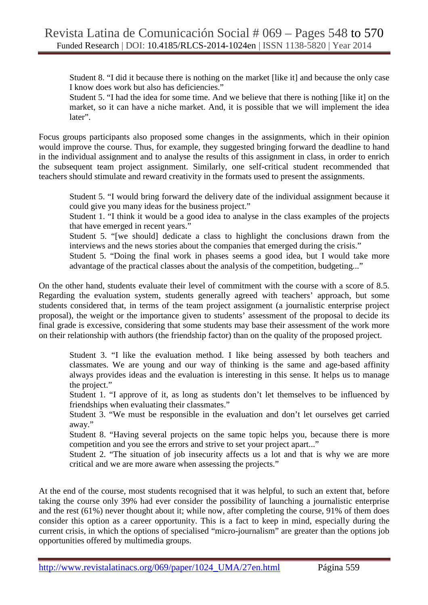Student 8. "I did it because there is nothing on the market [like it] and because the only case I know does work but also has deficiencies."

Student 5. "I had the idea for some time. And we believe that there is nothing [like it] on the market, so it can have a niche market. And, it is possible that we will implement the idea later".

Focus groups participants also proposed some changes in the assignments, which in their opinion would improve the course. Thus, for example, they suggested bringing forward the deadline to hand in the individual assignment and to analyse the results of this assignment in class, in order to enrich the subsequent team project assignment. Similarly, one self-critical student recommended that teachers should stimulate and reward creativity in the formats used to present the assignments.

Student 5. "I would bring forward the delivery date of the individual assignment because it could give you many ideas for the business project."

Student 1. "I think it would be a good idea to analyse in the class examples of the projects that have emerged in recent years."

Student 5. "[we should] dedicate a class to highlight the conclusions drawn from the interviews and the news stories about the companies that emerged during the crisis."

Student 5. "Doing the final work in phases seems a good idea, but I would take more advantage of the practical classes about the analysis of the competition, budgeting..."

On the other hand, students evaluate their level of commitment with the course with a score of 8.5. Regarding the evaluation system, students generally agreed with teachers' approach, but some students considered that, in terms of the team project assignment (a journalistic enterprise project proposal), the weight or the importance given to students' assessment of the proposal to decide its final grade is excessive, considering that some students may base their assessment of the work more on their relationship with authors (the friendship factor) than on the quality of the proposed project.

Student 3. "I like the evaluation method. I like being assessed by both teachers and classmates. We are young and our way of thinking is the same and age-based affinity always provides ideas and the evaluation is interesting in this sense. It helps us to manage the project."

Student 1. "I approve of it, as long as students don't let themselves to be influenced by friendships when evaluating their classmates."

Student 3. "We must be responsible in the evaluation and don't let ourselves get carried away."

Student 8. "Having several projects on the same topic helps you, because there is more competition and you see the errors and strive to set your project apart..."

Student 2. "The situation of job insecurity affects us a lot and that is why we are more critical and we are more aware when assessing the projects."

At the end of the course, most students recognised that it was helpful, to such an extent that, before taking the course only 39% had ever consider the possibility of launching a journalistic enterprise and the rest (61%) never thought about it; while now, after completing the course, 91% of them does consider this option as a career opportunity. This is a fact to keep in mind, especially during the current crisis, in which the options of specialised "micro-journalism" are greater than the options job opportunities offered by multimedia groups.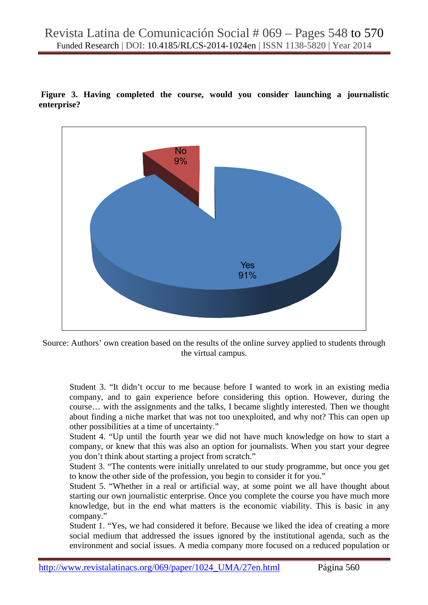**Figure 3. Having completed the course, would you consider launching a journalistic enterprise?** 



Source: Authors' own creation based on the results of the online survey applied to students through the virtual campus.

Student 3. "It didn't occur to me because before I wanted to work in an existing media company, and to gain experience before considering this option. However, during the course… with the assignments and the talks, I became slightly interested. Then we thought about finding a niche market that was not too unexploited, and why not? This can open up other possibilities at a time of uncertainty."

Student 4. "Up until the fourth year we did not have much knowledge on how to start a company, or knew that this was also an option for journalists. When you start your degree you don't think about starting a project from scratch."

Student 3. "The contents were initially unrelated to our study programme, but once you get to know the other side of the profession, you begin to consider it for you."

Student 5. "Whether in a real or artificial way, at some point we all have thought about starting our own journalistic enterprise. Once you complete the course you have much more knowledge, but in the end what matters is the economic viability. This is basic in any company."

Student 1. "Yes, we had considered it before. Because we liked the idea of creating a more social medium that addressed the issues ignored by the institutional agenda, such as the environment and social issues. A media company more focused on a reduced population or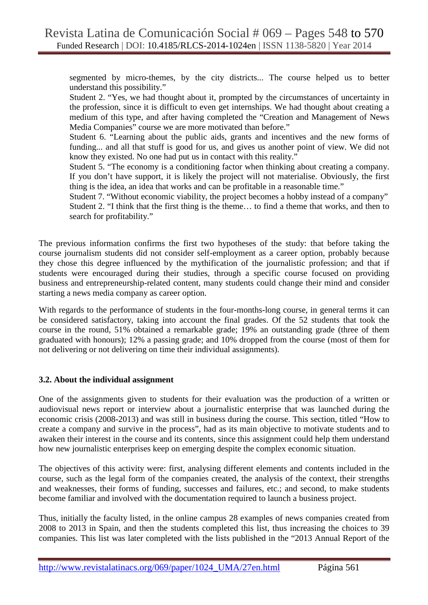segmented by micro-themes, by the city districts... The course helped us to better understand this possibility."

Student 2. "Yes, we had thought about it, prompted by the circumstances of uncertainty in the profession, since it is difficult to even get internships. We had thought about creating a medium of this type, and after having completed the "Creation and Management of News Media Companies" course we are more motivated than before."

Student 6. "Learning about the public aids, grants and incentives and the new forms of funding... and all that stuff is good for us, and gives us another point of view. We did not know they existed. No one had put us in contact with this reality."

Student 5. "The economy is a conditioning factor when thinking about creating a company. If you don't have support, it is likely the project will not materialise. Obviously, the first thing is the idea, an idea that works and can be profitable in a reasonable time."

Student 7. "Without economic viability, the project becomes a hobby instead of a company" Student 2. "I think that the first thing is the theme… to find a theme that works, and then to search for profitability."

The previous information confirms the first two hypotheses of the study: that before taking the course journalism students did not consider self-employment as a career option, probably because they chose this degree influenced by the mythification of the journalistic profession; and that if students were encouraged during their studies, through a specific course focused on providing business and entrepreneurship-related content, many students could change their mind and consider starting a news media company as career option.

With regards to the performance of students in the four-months-long course, in general terms it can be considered satisfactory, taking into account the final grades. Of the 52 students that took the course in the round, 51% obtained a remarkable grade; 19% an outstanding grade (three of them graduated with honours); 12% a passing grade; and 10% dropped from the course (most of them for not delivering or not delivering on time their individual assignments).

# **3.2. About the individual assignment**

One of the assignments given to students for their evaluation was the production of a written or audiovisual news report or interview about a journalistic enterprise that was launched during the economic crisis (2008-2013) and was still in business during the course. This section, titled "How to create a company and survive in the process", had as its main objective to motivate students and to awaken their interest in the course and its contents, since this assignment could help them understand how new journalistic enterprises keep on emerging despite the complex economic situation.

The objectives of this activity were: first, analysing different elements and contents included in the course, such as the legal form of the companies created, the analysis of the context, their strengths and weaknesses, their forms of funding, successes and failures, etc.; and second, to make students become familiar and involved with the documentation required to launch a business project.

Thus, initially the faculty listed, in the online campus 28 examples of news companies created from 2008 to 2013 in Spain, and then the students completed this list, thus increasing the choices to 39 companies. This list was later completed with the lists published in the "2013 Annual Report of the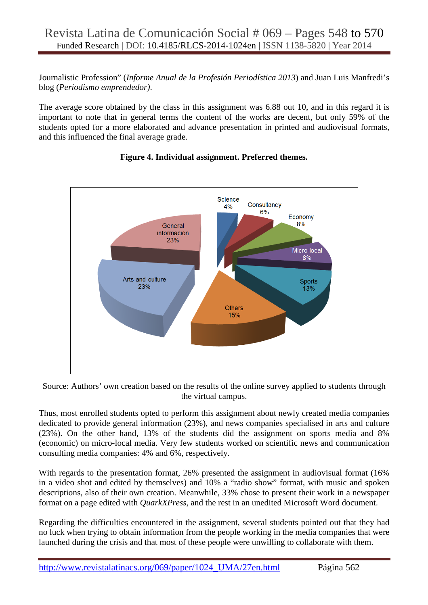Journalistic Profession" (*Informe Anual de la Profesión Periodística 2013*) and Juan Luis Manfredi's blog (*Periodismo emprendedor)*.

The average score obtained by the class in this assignment was 6.88 out 10, and in this regard it is important to note that in general terms the content of the works are decent, but only 59% of the students opted for a more elaborated and advance presentation in printed and audiovisual formats, and this influenced the final average grade.



# **Figure 4. Individual assignment. Preferred themes.**

Source: Authors' own creation based on the results of the online survey applied to students through the virtual campus.

Thus, most enrolled students opted to perform this assignment about newly created media companies dedicated to provide general information (23%), and news companies specialised in arts and culture (23%). On the other hand, 13% of the students did the assignment on sports media and 8% (economic) on micro-local media. Very few students worked on scientific news and communication consulting media companies: 4% and 6%, respectively.

With regards to the presentation format, 26% presented the assignment in audiovisual format (16%) in a video shot and edited by themselves) and 10% a "radio show" format, with music and spoken descriptions, also of their own creation. Meanwhile, 33% chose to present their work in a newspaper format on a page edited with *QuarkXPress*, and the rest in an unedited Microsoft Word document.

Regarding the difficulties encountered in the assignment, several students pointed out that they had no luck when trying to obtain information from the people working in the media companies that were launched during the crisis and that most of these people were unwilling to collaborate with them.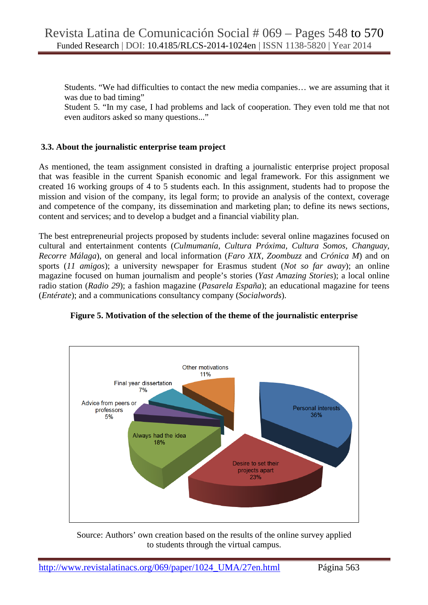Students. "We had difficulties to contact the new media companies… we are assuming that it was due to bad timing"

Student 5. "In my case, I had problems and lack of cooperation. They even told me that not even auditors asked so many questions..."

#### **3.3. About the journalistic enterprise team project**

As mentioned, the team assignment consisted in drafting a journalistic enterprise project proposal that was feasible in the current Spanish economic and legal framework. For this assignment we created 16 working groups of 4 to 5 students each. In this assignment, students had to propose the mission and vision of the company, its legal form; to provide an analysis of the context, coverage and competence of the company, its dissemination and marketing plan; to define its news sections, content and services; and to develop a budget and a financial viability plan.

The best entrepreneurial projects proposed by students include: several online magazines focused on cultural and entertainment contents (*Culmumanía, Cultura Próxima, Cultura Somos, Changuay, Recorre Málaga*), on general and local information (*Faro XIX, Zoombuzz* and *Crónica M*) and on sports (*11 amigos*); a university newspaper for Erasmus student (*Not so far away*); an online magazine focused on human journalism and people's stories (*Yast Amazing Stories*); a local online radio station (*Radio 29*); a fashion magazine (*Pasarela España*); an educational magazine for teens (*Entérate*); and a communications consultancy company (*Socialwords*).



#### **Figure 5. Motivation of the selection of the theme of the journalistic enterprise**

Source: Authors' own creation based on the results of the online survey applied to students through the virtual campus.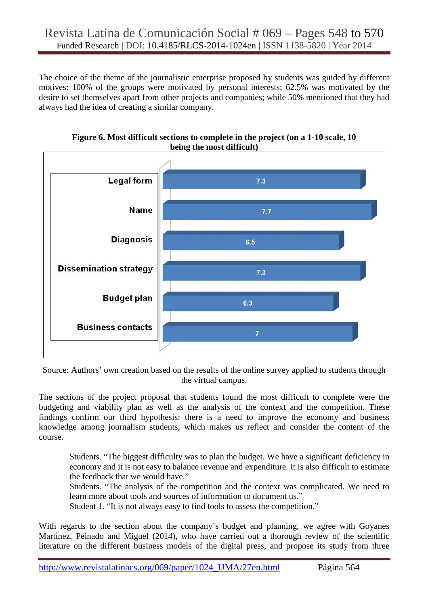The choice of the theme of the journalistic enterprise proposed by students was guided by different motives: 100% of the groups were motivated by personal interests; 62.5% was motivated by the desire to set themselves apart from other projects and companies; while 50% mentioned that they had always had the idea of creating a similar company.



**Figure 6. Most difficult sections to complete in the project (on a 1-10 scale, 10 being the most difficult)** 

Source: Authors' own creation based on the results of the online survey applied to students through the virtual campus.

The sections of the project proposal that students found the most difficult to complete were the budgeting and viability plan as well as the analysis of the context and the competition. These findings confirm our third hypothesis: there is a need to improve the economy and business knowledge among journalism students, which makes us reflect and consider the content of the course.

Students. "The biggest difficulty was to plan the budget. We have a significant deficiency in economy and it is not easy to balance revenue and expenditure. It is also difficult to estimate the feedback that we would have."

Students. "The analysis of the competition and the context was complicated. We need to learn more about tools and sources of information to document us."

Student 1. "It is not always easy to find tools to assess the competition."

With regards to the section about the company's budget and planning, we agree with Goyanes Martínez, Peinado and Miguel (2014), who have carried out a thorough review of the scientific literature on the different business models of the digital press, and propose its study from three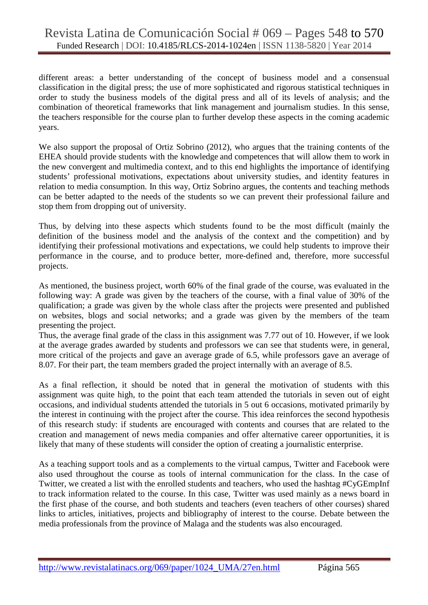different areas: a better understanding of the concept of business model and a consensual classification in the digital press; the use of more sophisticated and rigorous statistical techniques in order to study the business models of the digital press and all of its levels of analysis; and the combination of theoretical frameworks that link management and journalism studies. In this sense, the teachers responsible for the course plan to further develop these aspects in the coming academic years.

We also support the proposal of Ortiz Sobrino (2012), who argues that the training contents of the EHEA should provide students with the knowledge and competences that will allow them to work in the new convergent and multimedia context, and to this end highlights the importance of identifying students' professional motivations, expectations about university studies, and identity features in relation to media consumption. In this way, Ortiz Sobrino argues, the contents and teaching methods can be better adapted to the needs of the students so we can prevent their professional failure and stop them from dropping out of university.

Thus, by delving into these aspects which students found to be the most difficult (mainly the definition of the business model and the analysis of the context and the competition) and by identifying their professional motivations and expectations, we could help students to improve their performance in the course, and to produce better, more-defined and, therefore, more successful projects.

As mentioned, the business project, worth 60% of the final grade of the course, was evaluated in the following way: A grade was given by the teachers of the course, with a final value of 30% of the qualification; a grade was given by the whole class after the projects were presented and published on websites, blogs and social networks; and a grade was given by the members of the team presenting the project.

Thus, the average final grade of the class in this assignment was 7.77 out of 10. However, if we look at the average grades awarded by students and professors we can see that students were, in general, more critical of the projects and gave an average grade of 6.5, while professors gave an average of 8.07. For their part, the team members graded the project internally with an average of 8.5.

As a final reflection, it should be noted that in general the motivation of students with this assignment was quite high, to the point that each team attended the tutorials in seven out of eight occasions, and individual students attended the tutorials in 5 out 6 occasions, motivated primarily by the interest in continuing with the project after the course. This idea reinforces the second hypothesis of this research study: if students are encouraged with contents and courses that are related to the creation and management of news media companies and offer alternative career opportunities, it is likely that many of these students will consider the option of creating a journalistic enterprise.

As a teaching support tools and as a complements to the virtual campus, Twitter and Facebook were also used throughout the course as tools of internal communication for the class. In the case of Twitter, we created a list with the enrolled students and teachers, who used the hashtag #CyGEmpInf to track information related to the course. In this case, Twitter was used mainly as a news board in the first phase of the course, and both students and teachers (even teachers of other courses) shared links to articles, initiatives, projects and bibliography of interest to the course. Debate between the media professionals from the province of Malaga and the students was also encouraged.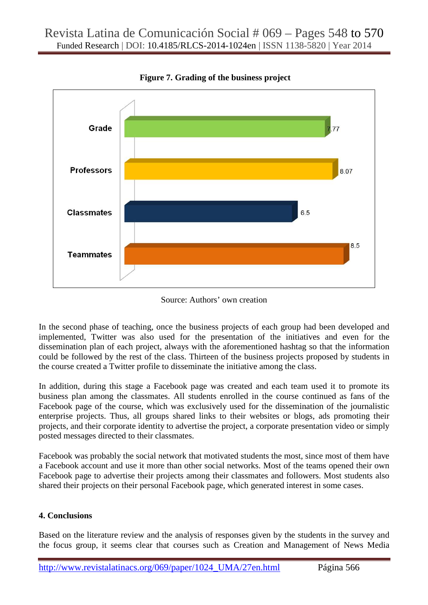

 **Figure 7. Grading of the business project** 

Source: Authors' own creation

In the second phase of teaching, once the business projects of each group had been developed and implemented, Twitter was also used for the presentation of the initiatives and even for the dissemination plan of each project, always with the aforementioned hashtag so that the information could be followed by the rest of the class. Thirteen of the business projects proposed by students in the course created a Twitter profile to disseminate the initiative among the class.

In addition, during this stage a Facebook page was created and each team used it to promote its business plan among the classmates. All students enrolled in the course continued as fans of the Facebook page of the course, which was exclusively used for the dissemination of the journalistic enterprise projects. Thus, all groups shared links to their websites or blogs, ads promoting their projects, and their corporate identity to advertise the project, a corporate presentation video or simply posted messages directed to their classmates.

Facebook was probably the social network that motivated students the most, since most of them have a Facebook account and use it more than other social networks. Most of the teams opened their own Facebook page to advertise their projects among their classmates and followers. Most students also shared their projects on their personal Facebook page, which generated interest in some cases.

# **4. Conclusions**

Based on the literature review and the analysis of responses given by the students in the survey and the focus group, it seems clear that courses such as Creation and Management of News Media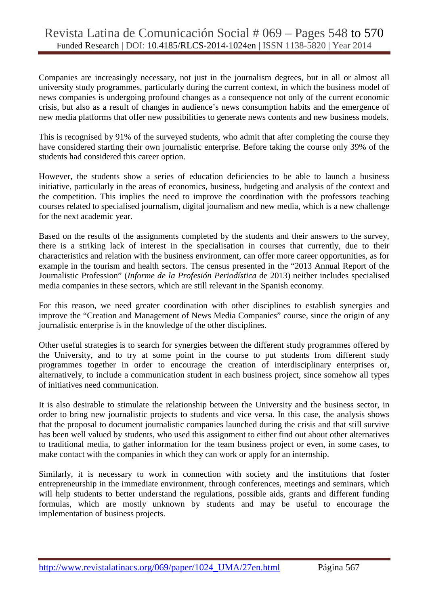# Revista Latina de Comunicación Social # 069 – Pages 548 to 570 Funded Research | DOI: 10.4185/RLCS-2014-1024en | ISSN 1138-5820 | Year 2014

Companies are increasingly necessary, not just in the journalism degrees, but in all or almost all university study programmes, particularly during the current context, in which the business model of news companies is undergoing profound changes as a consequence not only of the current economic crisis, but also as a result of changes in audience's news consumption habits and the emergence of new media platforms that offer new possibilities to generate news contents and new business models.

This is recognised by 91% of the surveyed students, who admit that after completing the course they have considered starting their own journalistic enterprise. Before taking the course only 39% of the students had considered this career option.

However, the students show a series of education deficiencies to be able to launch a business initiative, particularly in the areas of economics, business, budgeting and analysis of the context and the competition. This implies the need to improve the coordination with the professors teaching courses related to specialised journalism, digital journalism and new media, which is a new challenge for the next academic year.

Based on the results of the assignments completed by the students and their answers to the survey, there is a striking lack of interest in the specialisation in courses that currently, due to their characteristics and relation with the business environment, can offer more career opportunities, as for example in the tourism and health sectors. The census presented in the "2013 Annual Report of the Journalistic Profession" (*Informe de la Profesión Periodística* de 2013) neither includes specialised media companies in these sectors, which are still relevant in the Spanish economy.

For this reason, we need greater coordination with other disciplines to establish synergies and improve the "Creation and Management of News Media Companies" course, since the origin of any journalistic enterprise is in the knowledge of the other disciplines.

Other useful strategies is to search for synergies between the different study programmes offered by the University, and to try at some point in the course to put students from different study programmes together in order to encourage the creation of interdisciplinary enterprises or, alternatively, to include a communication student in each business project, since somehow all types of initiatives need communication.

It is also desirable to stimulate the relationship between the University and the business sector, in order to bring new journalistic projects to students and vice versa. In this case, the analysis shows that the proposal to document journalistic companies launched during the crisis and that still survive has been well valued by students, who used this assignment to either find out about other alternatives to traditional media, to gather information for the team business project or even, in some cases, to make contact with the companies in which they can work or apply for an internship.

Similarly, it is necessary to work in connection with society and the institutions that foster entrepreneurship in the immediate environment, through conferences, meetings and seminars, which will help students to better understand the regulations, possible aids, grants and different funding formulas, which are mostly unknown by students and may be useful to encourage the implementation of business projects.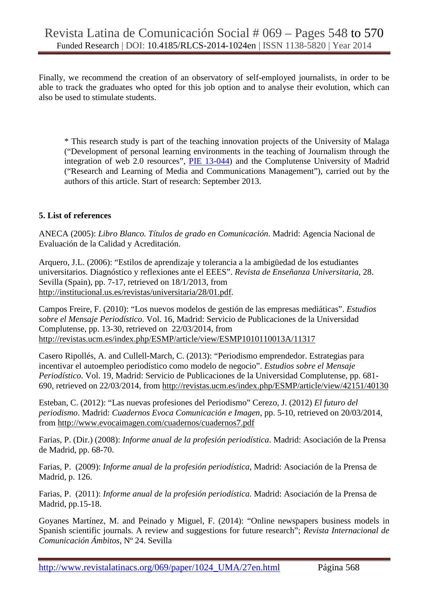Finally, we recommend the creation of an observatory of self-employed journalists, in order to be able to track the graduates who opted for this job option and to analyse their evolution, which can also be used to stimulate students.

\* This research study is part of the teaching innovation projects of the University of Malaga ("Development of personal learning environments in the teaching of Journalism through the integration of web 2.0 resources", PIE 13-044) and the Complutense University of Madrid ("Research and Learning of Media and Communications Management"), carried out by the authors of this article. Start of research: September 2013.

#### **5. List of references**

ANECA (2005): *Libro Blanco. Títulos de grado en Comunicación*. Madrid: Agencia Nacional de Evaluación de la Calidad y Acreditación.

Arquero, J.L. (2006): "Estilos de aprendizaje y tolerancia a la ambigüedad de los estudiantes universitarios. Diagnóstico y reflexiones ante el EEES". *Revista de Enseñanza Universitaria*, 28. Sevilla (Spain), pp. 7-17, retrieved on 18/1/2013, from http://institucional.us.es/revistas/universitaria/28/01.pdf.

Campos Freire, F. (2010): "Los nuevos modelos de gestión de las empresas mediáticas". *Estudios sobre el Mensaje Periodístico*. Vol. 16, Madrid: Servicio de Publicaciones de la Universidad Complutense, pp. 13-30, retrieved on 22/03/2014, from http://revistas.ucm.es/index.php/ESMP/article/view/ESMP1010110013A/11317

Casero Ripollés, A. and Cullell-March, C. (2013): "Periodismo emprendedor. Estrategias para incentivar el autoempleo periodístico como modelo de negocio". *Estudios sobre el Mensaje Periodístico*. Vol. 19, Madrid: Servicio de Publicaciones de la Universidad Complutense, pp. 681- 690, retrieved on 22/03/2014, from http://revistas.ucm.es/index.php/ESMP/article/view/42151/40130

Esteban, C. (2012): "Las nuevas profesiones del Periodismo" Cerezo, J. (2012) *El futuro del periodismo*. Madrid: *Cuadernos Evoca Comunicación e Imagen*, pp. 5-10, retrieved on 20/03/2014, from http://www.evocaimagen.com/cuadernos/cuadernos7.pdf

Farias, P. (Dir.) (2008): *Informe anual de la profesión periodística*. Madrid: Asociación de la Prensa de Madrid, pp. 68-70.

Farias, P. (2009): *Informe anual de la profesión periodística*, Madrid: Asociación de la Prensa de Madrid, p. 126.

Farias, P. (2011): *Informe anual de la profesión periodística*. Madrid: Asociación de la Prensa de Madrid, pp.15-18.

Goyanes Martínez, M. and Peinado y Miguel, F. (2014): "Online newspapers business models in Spanish scientific journals. A review and suggestions for future research"; *Revista Internacional de Comunicación Ámbitos*, Nº 24. Sevilla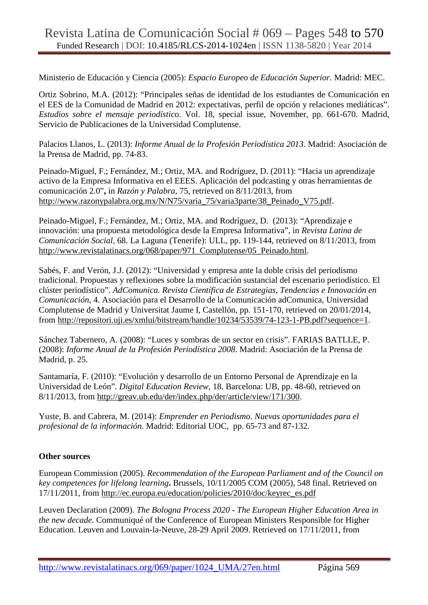Ministerio de Educación y Ciencia (2005): *Espacio Europeo de Educación Superior*. Madrid: MEC.

Ortiz Sobrino, M.A. (2012): "Principales señas de identidad de los estudiantes de Comunicación en el EES de la Comunidad de Madrid en 2012: expectativas, perfil de opción y relaciones mediáticas". *Estudios sobre el mensaje periodístico*. Vol. 18, special issue, November, pp. 661-670. Madrid, Servicio de Publicaciones de la Universidad Complutense.

Palacios Llanos, L. (2013): *Informe Anual de la Profesión Periodística 2013*. Madrid: Asociación de la Prensa de Madrid, pp. 74-83.

Peinado-Miguel, F.; Fernández, M.; Ortiz, MA. and Rodríguez, D. (2011): "Hacia un aprendizaje activo de la Empresa Informativa en el EEES. Aplicación del podcasting y otras herramientas de comunicación 2.0"**,** in *Razón y Palabra,* 75, retrieved on 8/11/2013, from http://www.razonypalabra.org.mx/N/N75/varia\_75/varia3parte/38\_Peinado\_V75.pdf.

Peinado-Miguel, F.; Fernández, M.; Ortiz, MA. and Rodríguez, D. (2013): "Aprendizaje e innovación: una propuesta metodológica desde la Empresa Informativa", in *Revista Latina de Comunicación Social*, 68. La Laguna (Tenerife): ULL, pp. 119-144, retrieved on 8/11/2013, from http://www.revistalatinacs.org/068/paper/971\_Complutense/05\_Peinado.html.

Sabés, F. and Verón, J.J. (2012): "Universidad y empresa ante la doble crisis del periodismo tradicional. Propuestas y reflexiones sobre la modificación sustancial del escenario periodístico. El clúster periodístico". *AdComunica. Revista Científica de Estrategias, Tendencias e Innovación en Comunicación*, 4. Asociación para el Desarrollo de la Comunicación adComunica, Universidad Complutense de Madrid y Universitat Jaume I, Castellón, pp. 151-170, retrieved on 20/01/2014, from http://repositori.uji.es/xmlui/bitstream/handle/10234/53539/74-123-1-PB.pdf?sequence=1.

Sánchez Tabernero, A. (2008): "Luces y sombras de un sector en crisis". FARIAS BATLLE, P. (2008): *Informe Anual de la Profesión Periodística 2008*. Madrid: Asociación de la Prensa de Madrid, p. 25.

Santamaría, F. (2010): "Evolución y desarrollo de un Entorno Personal de Aprendizaje en la Universidad de León". *Digital Education Review*, 18. Barcelona: UB, pp. 48-60, retrieved on 8/11/2013, from http://greav.ub.edu/der/index.php/der/article/view/171/300.

Yuste, B. and Cabrera, M. (2014): *Emprender en Periodismo. Nuevas oportunidades para el profesional de la información.* Madrid: Editorial UOC, pp. 65-73 and 87-132.

# **Other sources**

European Commission (2005). *Recommendation of the European Parliament and of the Council on key competences for lifelong learning***.** Brussels, 10/11/2005 COM (2005), 548 final. Retrieved on 17/11/2011, from http://ec.europa.eu/education/policies/2010/doc/keyrec\_es.pdf

Leuven Declaration (2009). *The Bologna Process 2020 - The European Higher Education Area in the new decade.* Communiqué of the Conference of European Ministers Responsible for Higher Education. Leuven and Louvain-la-Neuve, 28-29 April 2009. Retrieved on 17/11/2011, from